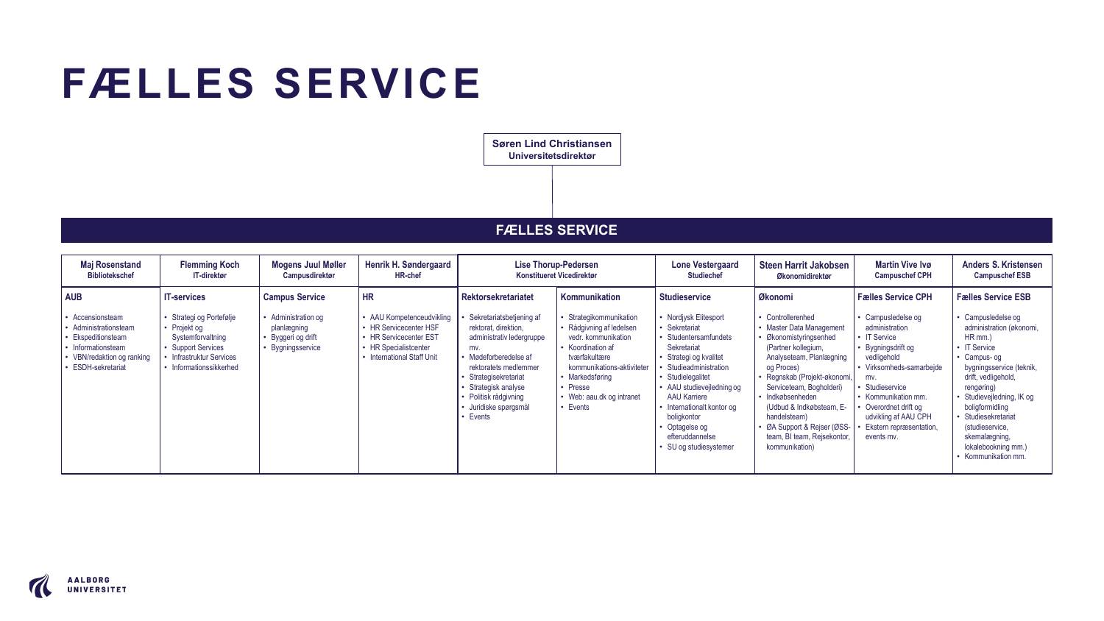## **FÆLLES SERVICE**

**Søren Lind Christiansen Universitetsdirektør** 

## **FÆLLES SERVICE**

| l hr<br><b>AUB</b><br>Fælles Service CPH<br>Kommunikation<br><b>Studieservice</b><br>Økonomi<br><b>IT-services</b><br><b>Campus Service</b><br><b>Rektorsekretariatet</b><br>Strategikommunikation<br>Strategi og Portefølje<br>• Administration og<br>• Nordiysk Elitesport<br>Sekretariatsbetjening af<br>Controllerenhed<br>• Campusledelse og<br>Accensionsteam<br>• AAU Kompetenceudvikling<br><b>Rådgivning af ledelsen</b><br>administration<br>Administrationsteam<br>• Projekt og<br>planlægning<br>• HR Servicecenter HSF<br>• Sekretariat<br><b>Master Data Management</b><br>rektorat, direktion,<br>• IT Service<br>HR mm.)<br>Ekspeditionsteam<br>• HR Servicecenter EST<br>vedr. kommunikation<br>• Studentersamfundets<br>Økonomistyringsenhed<br>Systemforvaltning<br>administrativ ledergruppe<br>Byggeri og drift<br><b>Support Services</b><br>• Bygningsservice<br>Koordination af<br>(Partner kollegium,<br>Informationsteam<br>• HR Specialistcenter<br>Sekretariat<br>Bygningsdrift og<br>mv.<br>• Mødeforberedelse af<br><b>Infrastruktur Services</b><br>• International Staff Unit<br>tværfakultære<br>vedligehold<br>• Strategi og kvalitet<br>Analyseteam, Planlægning<br>• VBN/redaktion og ranking<br>ESDH-sekretariat<br>• Informationssikkerhed<br>kommunikations-aktiviteter<br>Studieadministration<br>• Virksomheds-samarbeide<br>rektoratets medlemmer<br>og Proces) | <b>Maj Rosenstand</b><br><b>Bibliotekschef</b> | <b>Flemming Koch</b><br>IT-direktør | <b>Mogens Juul Møller</b><br><b>Campusdirektør</b> | Henrik H. Søndergaard<br><b>HR-chef</b> | <b>Lise Thorup-Pedersen</b><br>Konstitueret Vicedirektør |                 | <b>Lone Vestergaard</b><br><b>Studiechef</b> | Steen Harrit Jakobsen<br>Økonomidirektør | <b>Martin Vive Ivø</b><br><b>Campuschef CPH</b> | <b>Anders S. Kristensen</b><br><b>Campuschef ESB</b>                                                                                                                                                                                                                                                                               |
|-----------------------------------------------------------------------------------------------------------------------------------------------------------------------------------------------------------------------------------------------------------------------------------------------------------------------------------------------------------------------------------------------------------------------------------------------------------------------------------------------------------------------------------------------------------------------------------------------------------------------------------------------------------------------------------------------------------------------------------------------------------------------------------------------------------------------------------------------------------------------------------------------------------------------------------------------------------------------------------------------------------------------------------------------------------------------------------------------------------------------------------------------------------------------------------------------------------------------------------------------------------------------------------------------------------------------------------------------------------------------------------------------------------|------------------------------------------------|-------------------------------------|----------------------------------------------------|-----------------------------------------|----------------------------------------------------------|-----------------|----------------------------------------------|------------------------------------------|-------------------------------------------------|------------------------------------------------------------------------------------------------------------------------------------------------------------------------------------------------------------------------------------------------------------------------------------------------------------------------------------|
| Serviceteam, Bogholderi)<br>Studieservice<br>· Presse<br>• AAU studievejledning og<br>Strategisk analyse<br>· Politisk rådgivning<br>• Web: aau.dk og intranet<br><b>AAU Karriere</b><br>• Indkøbsenheden<br>Kommunikation mm.<br>• Events<br>· Juridiske spørgsmål<br>• Internationalt kontor og<br>(Udbud & Indkøbsteam, E-<br>Overordnet drift og<br>• Events<br>boligkontor<br>udvikling af AAU CPH<br>handelsteam)<br>· ØA Support & Rejser (ØSS-<br>Ekstern repræsentation,<br>• Optagelse og<br>efteruddannelse<br>team, BI team, Rejsekontor,<br>events mv.<br>• SU og studiesystemer<br>kommunikation)                                                                                                                                                                                                                                                                                                                                                                                                                                                                                                                                                                                                                                                                                                                                                                                           |                                                |                                     |                                                    |                                         | Strategisekretariat                                      | • Markedsføring | • Studielegalitet                            | · Regnskab (Projekt-økonomi,             | mv.                                             | <b>Fælles Service ESB</b><br>Campusledelse og<br>administration (økonomi,<br><b>IT Service</b><br>Campus- og<br>bygningsservice (teknik,<br>drift, vedligehold,<br>rengøring)<br>Studievejledning, IK og<br>boligformidling<br>Studiesekretariat<br>(studieservice,<br>skemalægning,<br>lokalebookning mm.)<br>• Kommunikation mm. |